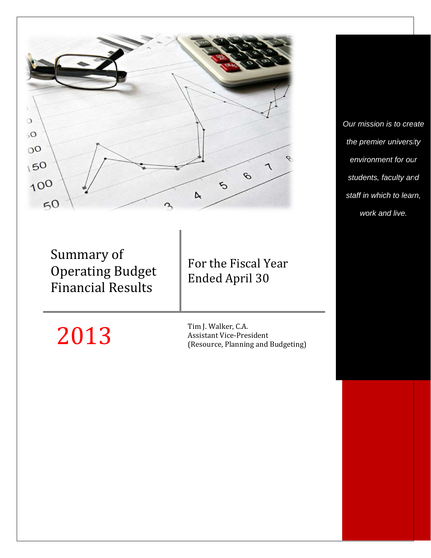

Summary of **Operating Budget** Financial Results

# For the Fiscal Year Ended April 30

 $2013$  Tim J. Walker, C.A.<br>Assistant Vice-Pres Assistant Vice-President (Resource, Planning and Budgeting) *Our mission is to create the premier university environment for our students, faculty and staff in which to learn, work and live.*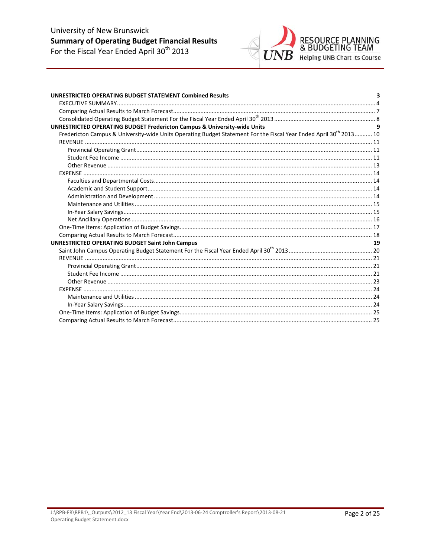# University of New Brunswick **Summary of Operating Budget Financial Results**<br>For the Fiscal Year Ended April 30<sup>th</sup> 2013



| <b>UNRESTRICTED OPERATING BUDGET STATEMENT Combined Results</b>                                                                | 3  |
|--------------------------------------------------------------------------------------------------------------------------------|----|
|                                                                                                                                |    |
|                                                                                                                                |    |
|                                                                                                                                |    |
| <b>UNRESTRICTED OPERATING BUDGET Fredericton Campus &amp; University-wide Units</b>                                            |    |
| Fredericton Campus & University-wide Units Operating Budget Statement For the Fiscal Year Ended April 30 <sup>th</sup> 2013 10 |    |
|                                                                                                                                |    |
|                                                                                                                                |    |
|                                                                                                                                |    |
|                                                                                                                                |    |
|                                                                                                                                |    |
|                                                                                                                                |    |
|                                                                                                                                |    |
|                                                                                                                                |    |
|                                                                                                                                |    |
|                                                                                                                                |    |
|                                                                                                                                |    |
|                                                                                                                                |    |
|                                                                                                                                |    |
| <b>UNRESTRICTED OPERATING BUDGET Saint John Campus</b>                                                                         | 19 |
|                                                                                                                                |    |
|                                                                                                                                |    |
|                                                                                                                                |    |
|                                                                                                                                |    |
|                                                                                                                                |    |
|                                                                                                                                |    |
|                                                                                                                                |    |
|                                                                                                                                |    |
|                                                                                                                                |    |
|                                                                                                                                |    |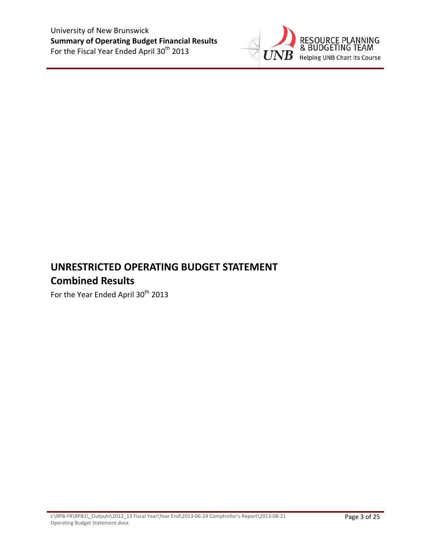

# **UNRESTRICTED OPERATING BUDGET STATEMENT Combined Results**

For the Year Ended April 30<sup>th</sup> 2013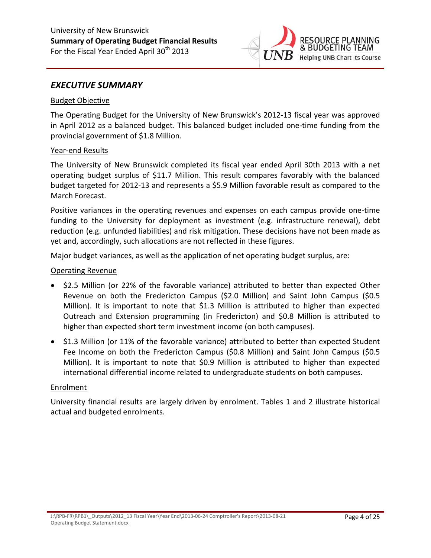

### *EXECUTIVE SUMMARY*

#### Budget Objective

The Operating Budget for the University of New Brunswick's 2012‐13 fiscal year was approved in April 2012 as a balanced budget. This balanced budget included one‐time funding from the provincial government of \$1.8 Million.

#### Year‐end Results

The University of New Brunswick completed its fiscal year ended April 30th 2013 with a net operating budget surplus of \$11.7 Million. This result compares favorably with the balanced budget targeted for 2012‐13 and represents a \$5.9 Million favorable result as compared to the March Forecast.

Positive variances in the operating revenues and expenses on each campus provide one‐time funding to the University for deployment as investment (e.g. infrastructure renewal), debt reduction (e.g. unfunded liabilities) and risk mitigation. These decisions have not been made as yet and, accordingly, such allocations are not reflected in these figures.

Major budget variances, as well as the application of net operating budget surplus, are:

#### Operating Revenue

- \$2.5 Million (or 22% of the favorable variance) attributed to better than expected Other Revenue on both the Fredericton Campus (\$2.0 Million) and Saint John Campus (\$0.5 Million). It is important to note that \$1.3 Million is attributed to higher than expected Outreach and Extension programming (in Fredericton) and \$0.8 Million is attributed to higher than expected short term investment income (on both campuses).
- \$1.3 Million (or 11% of the favorable variance) attributed to better than expected Student Fee Income on both the Fredericton Campus (\$0.8 Million) and Saint John Campus (\$0.5 Million). It is important to note that \$0.9 Million is attributed to higher than expected international differential income related to undergraduate students on both campuses.

#### **Enrolment**

University financial results are largely driven by enrolment. Tables 1 and 2 illustrate historical actual and budgeted enrolments.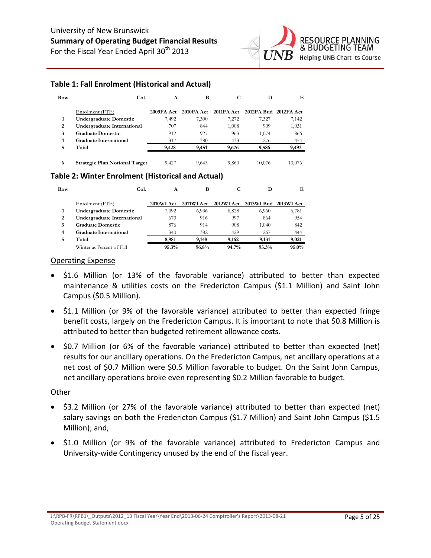

### **Table 1: Fall Enrolment (Historical and Actual)**

| Row | Col.                                  | A          | в           | ι.         | D                     | Е      |
|-----|---------------------------------------|------------|-------------|------------|-----------------------|--------|
|     | Enrolment (FTE)                       | 2009FA Act | 2010 FA Act | 2011FA Act | 2012FA Bud 2012FA Act |        |
|     | <b>Undergraduate Domestic</b>         | 7,492      | 7,300       | 7,272      | 7,327                 | 7,142  |
| 2   | Undergraduate International           | 707        | 844         | 1,008      | 909                   | 1,031  |
| 3   | <b>Graduate Domestic</b>              | 912        | 927         | 963        | 1,074                 | 866    |
| 4   | Graduate International                | 317        | 380         | 433        | 276                   | 454    |
| 5.  | Total                                 | 9,428      | 9,451       | 9,676      | 9,586                 | 9,493  |
|     |                                       |            |             |            |                       |        |
| 6   | <b>Strategic Plan Notional Target</b> | 9.427      | 9.643       | 9.860      | 10.076                | 10.076 |

#### **Table 2: Winter Enrolment (Historical and Actual)**

| Row |                               | Col.<br>A  | в          |            | D                     | Е        |
|-----|-------------------------------|------------|------------|------------|-----------------------|----------|
|     | Enrolment (FTE)               | 2010WI Act | 2011WI Act | 2012WI Act | 2013WI Bud 2013WI Act |          |
|     | <b>Undergraduate Domestic</b> | 7,092      | 6,936      | 6,828      | 6,960                 | 6,781    |
| 2   | Undergraduate International   | 673        | 916        | 997        | 864                   | 954      |
| 3   | <b>Graduate Domestic</b>      | 876        | 914        | 908        | 1,040                 | 842      |
| 4   | <b>Graduate International</b> | 340        | 382        | 429        | 267                   | 444      |
| 5   | Total                         | 8.981      | 9,148      | 9,162      | 9.131                 | 9,021    |
|     | Winter as Percent of Fall     | 95.3%      | 96.8%      | $94.7\%$   | 95.3%                 | $95.0\%$ |

#### Operating Expense

- \$1.6 Million (or 13% of the favorable variance) attributed to better than expected maintenance & utilities costs on the Fredericton Campus (\$1.1 Million) and Saint John Campus (\$0.5 Million).
- \$1.1 Million (or 9% of the favorable variance) attributed to better than expected fringe benefit costs, largely on the Fredericton Campus. It is important to note that \$0.8 Million is attributed to better than budgeted retirement allowance costs.
- \$0.7 Million (or 6% of the favorable variance) attributed to better than expected (net) results for our ancillary operations. On the Fredericton Campus, net ancillary operations at a net cost of \$0.7 Million were \$0.5 Million favorable to budget. On the Saint John Campus, net ancillary operations broke even representing \$0.2 Million favorable to budget.

### **Other**

- \$3.2 Million (or 27% of the favorable variance) attributed to better than expected (net) salary savings on both the Fredericton Campus (\$1.7 Million) and Saint John Campus (\$1.5 Million); and,
- \$1.0 Million (or 9% of the favorable variance) attributed to Fredericton Campus and University‐wide Contingency unused by the end of the fiscal year.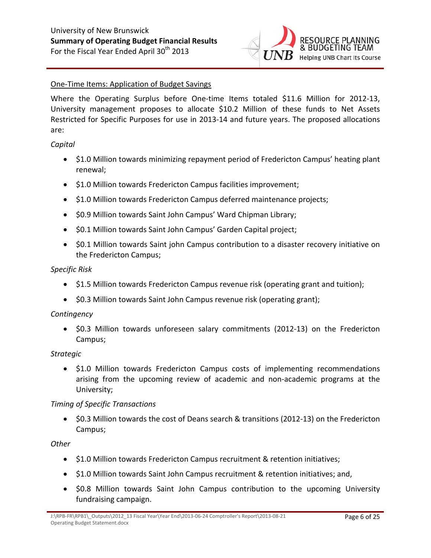

### One‐Time Items: Application of Budget Savings

Where the Operating Surplus before One-time Items totaled \$11.6 Million for 2012-13, University management proposes to allocate \$10.2 Million of these funds to Net Assets Restricted for Specific Purposes for use in 2013‐14 and future years. The proposed allocations are:

#### *Capital*

- \$1.0 Million towards minimizing repayment period of Fredericton Campus' heating plant renewal;
- \$1.0 Million towards Fredericton Campus facilities improvement;
- \$1.0 Million towards Fredericton Campus deferred maintenance projects;
- \$0.9 Million towards Saint John Campus' Ward Chipman Library;
- \$0.1 Million towards Saint John Campus' Garden Capital project;
- \$0.1 Million towards Saint john Campus contribution to a disaster recovery initiative on the Fredericton Campus;

#### *Specific Risk*

- \$1.5 Million towards Fredericton Campus revenue risk (operating grant and tuition);
- \$0.3 Million towards Saint John Campus revenue risk (operating grant);

#### *Contingency*

 \$0.3 Million towards unforeseen salary commitments (2012‐13) on the Fredericton Campus;

#### *Strategic*

• \$1.0 Million towards Fredericton Campus costs of implementing recommendations arising from the upcoming review of academic and non‐academic programs at the University;

#### *Timing of Specific Transactions*

● \$0.3 Million towards the cost of Deans search & transitions (2012-13) on the Fredericton Campus;

### *Other*

- \$1.0 Million towards Fredericton Campus recruitment & retention initiatives;
- \$1.0 Million towards Saint John Campus recruitment & retention initiatives; and,
- \$0.8 Million towards Saint John Campus contribution to the upcoming University fundraising campaign.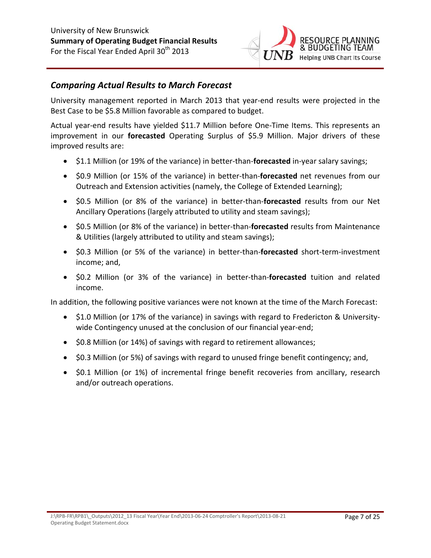

### *Comparing Actual Results to March Forecast*

University management reported in March 2013 that year‐end results were projected in the Best Case to be \$5.8 Million favorable as compared to budget.

Actual year‐end results have yielded \$11.7 Million before One‐Time Items. This represents an improvement in our **forecasted** Operating Surplus of \$5.9 Million. Major drivers of these improved results are:

- \$1.1 Million (or 19% of the variance) in better-than-**forecasted** in-year salary savings;
- \$0.9 Million (or 15% of the variance) in better-than-**forecasted** net revenues from our Outreach and Extension activities (namely, the College of Extended Learning);
- \$0.5 Million (or 8% of the variance) in better‐than‐**forecasted** results from our Net Ancillary Operations (largely attributed to utility and steam savings);
- \$0.5 Million (or 8% of the variance) in better‐than‐**forecasted** results from Maintenance & Utilities (largely attributed to utility and steam savings);
- \$0.3 Million (or 5% of the variance) in better‐than‐**forecasted** short‐term‐investment income; and,
- \$0.2 Million (or 3% of the variance) in better‐than‐**forecasted** tuition and related income.

In addition, the following positive variances were not known at the time of the March Forecast:

- \$1.0 Million (or 17% of the variance) in savings with regard to Fredericton & Universitywide Contingency unused at the conclusion of our financial year-end;
- \$0.8 Million (or 14%) of savings with regard to retirement allowances;
- \$0.3 Million (or 5%) of savings with regard to unused fringe benefit contingency; and,
- \$0.1 Million (or 1%) of incremental fringe benefit recoveries from ancillary, research and/or outreach operations.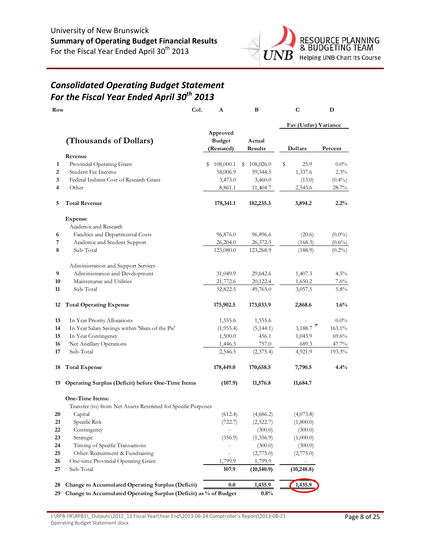

## *Consolidated Operating Budget Statement For the Fiscal Year Ended April 30th 2013*

| Row |                                                                  | Col. | A                                       |   | B                 | C                    | D         |
|-----|------------------------------------------------------------------|------|-----------------------------------------|---|-------------------|----------------------|-----------|
|     |                                                                  |      |                                         |   |                   | Fav (Unfav) Variance |           |
|     | (Thousands of Dollars)                                           |      | Approved<br><b>Budget</b><br>(Restated) |   | Actual<br>Results | Dollars              | Percent   |
|     | Revenue                                                          |      |                                         |   |                   |                      |           |
| 1   | Provincial Operating Grant                                       |      | 108,000.1<br>s                          | s | 108,026.0         | \$<br>25.9           | $0.0\%$   |
| 2   | Student Fee Income                                               |      | 58,006.9                                |   | 59,344.5          | 1,337.6              | 2.3%      |
| 3   | Federal Indirect Cost of Research Grant                          |      | 3,473.0                                 |   | 3,460.0           | (13.0)               | $(0.4\%)$ |
| 4   | Other                                                            |      | 8,861.1                                 |   | 11,404.7          | 2,543.6              | 28.7%     |
| 5   | <b>Total Revenue</b>                                             |      | 178,341.1                               |   | 182,235.3         | 3,894.2              | 2.2%      |
|     | <b>Expense</b>                                                   |      |                                         |   |                   |                      |           |
|     | Academic and Research                                            |      |                                         |   |                   |                      |           |
| 6   | Faculties and Departmental Costs                                 |      | 96,876.0                                |   | 96,896.6          | (20.6)               | $(0.0\%)$ |
| 7   | Academic and Student Support                                     |      | 26,204.0                                |   | 26,372.3          | (168.3)              | $(0.6\%)$ |
| 8   | Sub-Total                                                        |      | 123,080.0                               |   | 123,268.9         | (188.9)              | $(0.2\%)$ |
|     | Administration and Support Services                              |      |                                         |   |                   |                      |           |
| 9   | Administration and Development                                   |      | 31,049.9                                |   | 29,642.6          | 1,407.3              | $4.5\%$   |
| 10  | Maintenance and Utilities                                        |      | 21,772.6                                |   | 20,122.4          | 1,650.2              | 7.6%      |
| 11  | Sub-Total                                                        |      | 52,822.5                                |   | 49,765.0          | 3,057.5              | 5.8%      |
| 12  | <b>Total Operating Expense</b>                                   |      | 175,902.5                               |   | 173,033.9         | 2,868.6              | 1.6%      |
| 13  | In Year Priority Allocations                                     |      | 1,555.6                                 |   | 1,555.6           |                      | $0.0\%$   |
| 14  | In Year Salary Savings within 'Slices of the Pie'                |      | (1, 955.4)                              |   | (5, 144.1)        | 3,188.7              | 163.1%    |
| 15  | In Year Contingency                                              |      | 1,500.0                                 |   | 456.1             | 1,043.9              | $69.6\%$  |
| 16  | Net Anallary Operations                                          |      | 1,446.3                                 |   | 757.0             | 689.3                | 47.7%     |
| 17  | Sub-Total                                                        |      | 2,546.5                                 |   | (2,375.4)         | 4,921.9              | 193.3%    |
| 18  | <b>Total Expense</b>                                             |      | 178,449.0                               |   | 170,658.5         | 7,790.5              | 4.4%      |
| 19  | Operating Surplus (Deficit) before One-Time Items                |      | (107.9)                                 |   | 11,576.8          | 11,684.7             |           |
|     | One-Time Items:                                                  |      |                                         |   |                   |                      |           |
|     | Transfer (to) from Net Assets Restricted for Specific Purposes   |      |                                         |   |                   |                      |           |
| 20  | Capital                                                          |      | (612.4)                                 |   | (4,686.2)         | (4,073.8)            |           |
| 21  | Specific Risk                                                    |      | (722.7)                                 |   | (2,522.7)         | (1,800.0)            |           |
| 22  | Contingency                                                      |      |                                         |   | (300.0)           | (300.0)              |           |
| 23  | Strategic                                                        |      | (356.9)                                 |   | (1,356.9)         | (1,000.0)            |           |
| 24  | Timing of Specific Transactions                                  |      |                                         |   | (300.0)           | (300.0)              |           |
| 25  | Other: Recruitment & Fundraising                                 |      |                                         |   | (2,775.0)         | (2,775.0)            |           |
| 26  | One-time Provincial Operating Grant                              |      | 1,799.9                                 |   | 1,799.9           |                      |           |
| 27  | Sub-Total                                                        |      | 107.9                                   |   | (10, 140.9)       | (10, 248.8)          |           |
| 28  | Change to Accumulated Operating Surplus (Deficit)                |      | 0.0                                     |   | 1,435.9           | 1,435.9              |           |
| 29  | Change to Accumulated Operating Surplus (Deficit) as % of Budget |      |                                         |   | 0.8%              |                      |           |

J:\RPB‐FR\RPB1\\_Outputs\2012\_13 Fiscal Year\Year End\2013‐06‐24 Comptroller's Report\2013‐08‐21 Operating Budget Statement.docx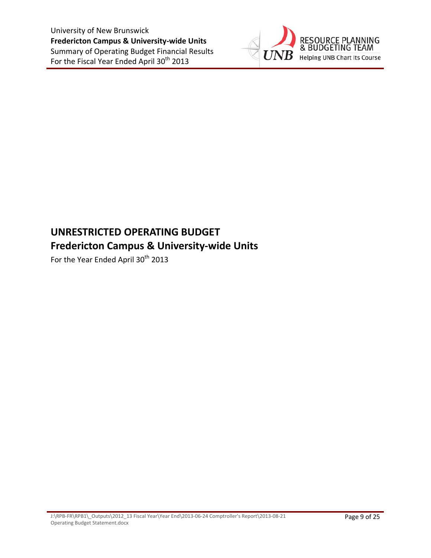

# **UNRESTRICTED OPERATING BUDGET Fredericton Campus & University‐wide Units**

For the Year Ended April 30<sup>th</sup> 2013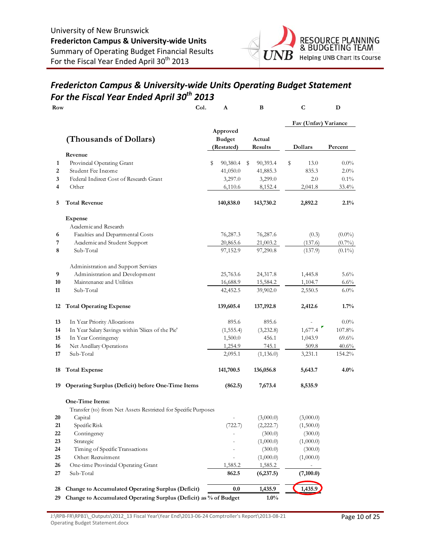

## *Fredericton Campus & University‐wide Units Operating Budget Statement For the Fiscal Year Ended April 30th 2013*

| Row |                                                                  | Col. | A                                       | В                        | $\mathbf C$          | D         |
|-----|------------------------------------------------------------------|------|-----------------------------------------|--------------------------|----------------------|-----------|
|     |                                                                  |      |                                         |                          | Fav (Unfav) Variance |           |
|     | (Thousands of Dollars)                                           |      | Approved<br><b>Budget</b><br>(Restated) | Actual<br><b>Results</b> | Dollars              | Percent   |
|     | Revenue                                                          |      |                                         |                          |                      |           |
| 1   | Provincial Operating Grant                                       |      | \$<br>90,380.4                          | 90,393.4<br>S            | \$<br>13.0           | $0.0\%$   |
| 2   | Student Fee Income                                               |      | 41,050.0                                | 41,885.3                 | 835.3                | $2.0\%$   |
| 3   | Federal Indirect Cost of Research Grant                          |      | 3,297.0                                 | 3,299.0                  | 2.0                  | $0.1\%$   |
| 4   | Other                                                            |      | 6,110.6                                 | 8,152.4                  | 2,041.8              | $33.4\%$  |
| 5   | <b>Total Revenue</b>                                             |      | 140,838.0                               | 143,730.2                | 2,892.2              | $2.1\%$   |
|     | <b>Expense</b>                                                   |      |                                         |                          |                      |           |
|     | Academic and Research                                            |      |                                         |                          |                      |           |
| 6   | Faculties and Departmental Costs                                 |      | 76,287.3                                | 76,287.6                 | (0.3)                | $(0.0\%)$ |
| 7   | Academic and Student Support                                     |      | 20,865.6                                | 21,003.2                 | (137.6)              | $(0.7\%)$ |
| 8   | Sub-Total                                                        |      | 97,152.9                                | 97,290.8                 | (137.9)              | $(0.1\%)$ |
|     | Administration and Support Services                              |      |                                         |                          |                      |           |
| 9   | Administration and Development                                   |      | 25,763.6                                | 24,317.8                 | 1,445.8              | 5.6%      |
| 10  | Maintenance and Utilities                                        |      | 16,688.9                                | 15,584.2                 | 1,104.7              | $6.6\%$   |
| 11  | Sub-Total                                                        |      | 42,452.5                                | 39,902.0                 | 2,550.5              | $6.0\%$   |
| 12  | <b>Total Operating Expense</b>                                   |      | 139,605.4                               | 137,192.8                | 2,412.6              | 1.7%      |
| 13  | In Year Priority Allocations                                     |      | 895.6                                   | 895.6                    |                      | $0.0\%$   |
| 14  | In Year Salary Savings within 'Slices of the Pie'                |      | (1, 555.4)                              | (3,232.8)                | 1,677.4              | 107.8%    |
| 15  | In Year Contingency                                              |      | 1,500.0                                 | 456.1                    | 1,043.9              | 69.6%     |
| 16  | Net Ancillary Operations                                         |      | 1,254.9                                 | 745.1                    | 509.8                | $40.6\%$  |
| 17  | Sub-Total                                                        |      | 2,095.1                                 | (1, 136.0)               | 3,231.1              | 154.2%    |
| 18  | <b>Total Expense</b>                                             |      | 141,700.5                               | 136,056.8                | 5,643.7              | $4.0\%$   |
| 19  | Operating Surplus (Deficit) before One-Time Items                |      | (862.5)                                 | 7,673.4                  | 8,535.9              |           |
|     | One-Time Items:                                                  |      |                                         |                          |                      |           |
|     | Transfer (to) from Net Assets Restricted for Specific Purposes   |      |                                         |                          |                      |           |
| 20  | Capital                                                          |      |                                         | (3,000.0)                | (3,000.0)            |           |
| 21  | Specific Risk                                                    |      | (722.7)                                 | (2,222.7)                | (1,500.0)            |           |
| 22  | Contingency                                                      |      |                                         | (300.0)                  | (300.0)              |           |
| 23  | Strategic                                                        |      |                                         | (1,000.0)                | (1,000.0)            |           |
| 24  | Timing of Specific Transactions                                  |      |                                         | (300.0)                  | (300.0)              |           |
| 25  | Other: Recruitment                                               |      |                                         | (1,000.0)                | (1,000.0)            |           |
| 26  | One-time Provincial Operating Grant                              |      | 1,585.2                                 | 1,585.2                  |                      |           |
| 27  | Sub-Total                                                        |      | 862.5                                   | (6,237.5)                | (7,100.0)            |           |
| 28  | Change to Accumulated Operating Surplus (Deficit)                |      | $0.0\,$                                 | 1,435.9                  | 1,435.9              |           |
| 20. | Change to Accumulated Operating Surplus (Deficit) as % of Budget |      |                                         | 1.00/                    |                      |           |

**29 Change to Accumulated Operating Surplus (Deficit) as % of Budget 1.0%**

J:\RPB‐FR\RPB1\\_Outputs\2012\_13 Fiscal Year\Year End\2013‐06‐24 Comptroller's Report\2013‐08‐21 Operating Budget Statement.docx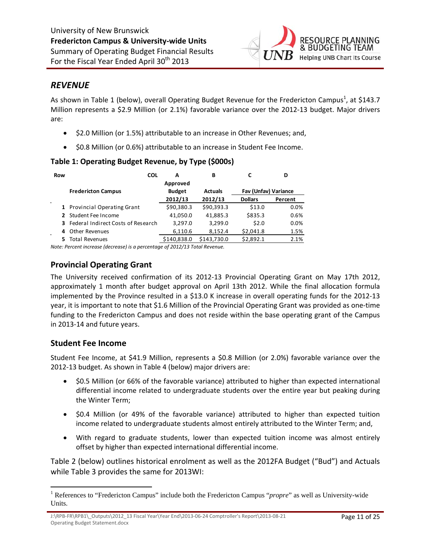

### *REVENUE*

As shown in Table 1 (below), overall Operating Budget Revenue for the Fredericton Campus<sup>1</sup>, at \$143.7 Million represents a \$2.9 Million (or 2.1%) favorable variance over the 2012‐13 budget. Major drivers are:

- \$2.0 Million (or 1.5%) attributable to an increase in Other Revenues; and,
- $\bullet$  \$0.8 Million (or 0.6%) attributable to an increase in Student Fee Income.

### **Table 1: Operating Budget Revenue, by Type (\$000s)**

| Row                 | <b>COL</b>                                  | А             | В              |                      | D       |
|---------------------|---------------------------------------------|---------------|----------------|----------------------|---------|
|                     |                                             | Approved      |                |                      |         |
|                     | <b>Fredericton Campus</b>                   | <b>Budget</b> | <b>Actuals</b> | Fav (Unfav) Variance |         |
| $\mathbf{r}$        |                                             | 2012/13       | 2012/13        | <b>Dollars</b>       | Percent |
|                     | 1 Provincial Operating Grant                | \$90,380.3    | \$90,393.3     | \$13.0               | $0.0\%$ |
|                     | 2 Student Fee Income                        | 41,050.0      | 41,885.3       | \$835.3              | 0.6%    |
|                     | <b>3</b> Federal Indirect Costs of Research | 3.297.0       | 3,299.0        | \$2.0                | 0.0%    |
| 4<br>$\blacksquare$ | Other Revenues                              | 6,110.6       | 8,152.4        | \$2,041.8            | 1.5%    |
|                     | <b>Total Revenues</b>                       | \$140,838.0   | \$143,730.0    | \$2,892.1            | 2.1%    |
|                     |                                             |               |                |                      |         |

*Note: Percent increase (decrease) is a percentage of 2012/13 Total Revenue.*

### **Provincial Operating Grant**

The University received confirmation of its 2012‐13 Provincial Operating Grant on May 17th 2012, approximately 1 month after budget approval on April 13th 2012. While the final allocation formula implemented by the Province resulted in a \$13.0 K increase in overall operating funds for the 2012‐13 year, it is important to note that \$1.6 Million of the Provincial Operating Grant was provided as one‐time funding to the Fredericton Campus and does not reside within the base operating grant of the Campus in 2013‐14 and future years.

### **Student Fee Income**

Student Fee Income, at \$41.9 Million, represents a \$0.8 Million (or 2.0%) favorable variance over the 2012‐13 budget. As shown in Table 4 (below) major drivers are:

- \$0.5 Million (or 66% of the favorable variance) attributed to higher than expected international differential income related to undergraduate students over the entire year but peaking during the Winter Term;
- \$0.4 Million (or 49% of the favorable variance) attributed to higher than expected tuition income related to undergraduate students almost entirely attributed to the Winter Term; and,
- With regard to graduate students, lower than expected tuition income was almost entirely offset by higher than expected international differential income.

Table 2 (below) outlines historical enrolment as well as the 2012FA Budget ("Bud") and Actuals while Table 3 provides the same for 2013WI:

<sup>&</sup>lt;sup>1</sup> References to "Fredericton Campus" include both the Fredericton Campus "*propre*" as well as University-wide Units.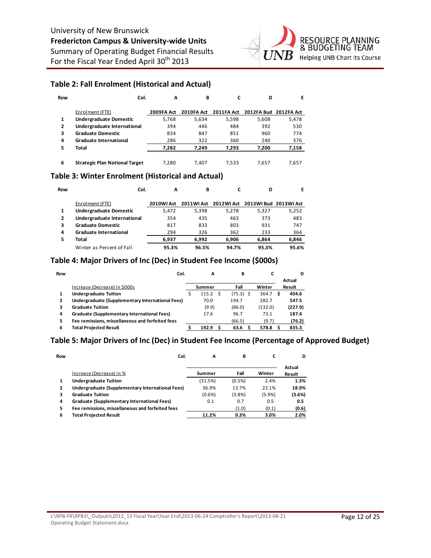

#### **Table 2: Fall Enrolment (Historical and Actual)**

| Row | Col.                                  | A          | В          |            | D                     | F     |
|-----|---------------------------------------|------------|------------|------------|-----------------------|-------|
|     | Enrolment (FTE)                       | 2009FA Act | 2010FA Act | 2011FA Act | 2012FA Bud 2012FA Act |       |
| 1   | <b>Undergraduate Domestic</b>         | 5.768      | 5.634      | 5,598      | 5.608                 | 5,478 |
| 2   | Undergraduate International           | 394        | 446        | 484        | 392                   | 530   |
| 3   | <b>Graduate Domestic</b>              | 834        | 847        | 851        | 960                   | 774   |
| 4   | <b>Graduate International</b>         | 286        | 322        | 360        | 240                   | 376   |
| 5   | Total                                 | 7,282      | 7.249      | 7,293      | 7,200                 | 7,158 |
|     |                                       |            |            |            |                       |       |
| 6   | <b>Strategic Plan Notional Target</b> | 7,280      | 7.407      | 7.533      | 7.657                 | 7,657 |

#### **Table 3: Winter Enrolment (Historical and Actual)**

| Row |                               | Col.<br>A  | в          |             | D                       | Е     |
|-----|-------------------------------|------------|------------|-------------|-------------------------|-------|
|     | Enrolment (FTE)               | 2010WI Act | 2011WI Act | 2012 WI Act | 2013 WI Bud 2013 WI Act |       |
|     | <b>Undergraduate Domestic</b> | 5.472      | 5.398      | 5.278       | 5,327                   | 5,252 |
| 2   | Undergraduate International   | 354        | 435        | 463         | 373                     | 483   |
| 3   | <b>Graduate Domestic</b>      | 817        | 833        | 803         | 931                     | 747   |
| 4   | <b>Graduate International</b> | 294        | 326        | 362         | 233                     | 364   |
| 5   | Total                         | 6.937      | 6.992      | 6.906       | 6.864                   | 6,846 |
|     | Winter as Percent of Fall     | 95.3%      | 96.5%      | 94.7%       | 95.3%                   | 95.6% |

### **Table 4: Major Drivers of Inc (Dec) in Student Fee Income (\$000s)**

| Row | Col.                                             | А      | в           |         | D       |
|-----|--------------------------------------------------|--------|-------------|---------|---------|
|     |                                                  |        |             |         | Actual  |
|     | Increase (Decrease) in \$000s                    | Summer | Fall        | Winter  | Result  |
|     | <b>Undergraduate Tuition</b>                     | 115.2  | $(75.3)$ \$ | 364.7   | 404.6   |
| 2   | Undergraduate (Supplementary International Fees) | 70.0   | 194.7       | 282.7   | 547.5   |
| 3   | <b>Graduate Tuition</b>                          | (9.9)  | (86.0)      | (132.0) | (227.9) |
| 4   | Graduate (Supplementary International Fees)      | 17.6   | 96.7        | 73.1    | 187.4   |
| 5   | Fee remissions, miscellaneous and forfeited fees |        | (66.5)      | (9.7)   | (76.2)  |
| 6   | <b>Total Projected Result</b>                    | 192.9  | 63.6        | 578.8   | 835.3   |

#### **Table 5: Major Drivers of Inc (Dec) in Student Fee Income (Percentage of Approved Budget)**

| Row | Col.                                             | A       | в      |        | D                |
|-----|--------------------------------------------------|---------|--------|--------|------------------|
|     | Increase (Decrease) in %                         | Summer  | Fall   | Winter | Actual<br>Result |
| 1   | <b>Undergraduate Tuition</b>                     | (31.5%) | (0.5%) | 2.4%   | 1.3%             |
|     | Undergraduate (Supplementary International Fees) | 36.9%   | 13.7%  | 22.1%  | 18.9%            |
| з   | <b>Graduate Tuition</b>                          | (0.6%)  | (3.8%) | (5.9%) | (3.6%)           |
| 4   | Graduate (Supplementary International Fees)      | 0.1     | 0.7    | 0.5    | 0.5              |
| 5   | Fee remissions, miscellaneous and forfeited fees |         | (1.0)  | (0.1)  | (0.6)            |
| 6   | <b>Total Proiected Result</b>                    | 11.2%   | 0.3%   | 3.0%   | 2.0%             |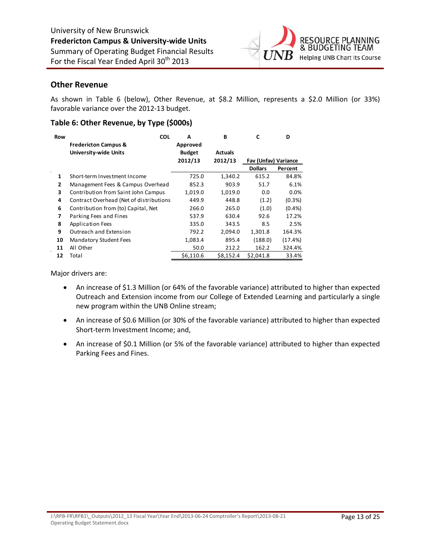

### **Other Revenue**

As shown in Table 6 (below), Other Revenue, at \$8.2 Million, represents a \$2.0 Million (or 33%) favorable variance over the 2012‐13 budget.

#### **Table 6: Other Revenue, by Type (\$000s)**

| <b>Row</b>   | <b>COL</b><br><b>Fredericton Campus &amp;</b><br><b>University-wide Units</b> | A<br>Approved<br><b>Budget</b> | B<br><b>Actuals</b> | C                                             | D         |
|--------------|-------------------------------------------------------------------------------|--------------------------------|---------------------|-----------------------------------------------|-----------|
|              |                                                                               | 2012/13                        | 2012/13             | <b>Fav (Unfav) Variance</b><br><b>Dollars</b> | Percent   |
| 1            | Short-term Investment Income                                                  | 725.0                          | 1,340.2             | 615.2                                         | 84.8%     |
| $\mathbf{z}$ | Management Fees & Campus Overhead                                             | 852.3                          | 903.9               | 51.7                                          | 6.1%      |
| 3            | Contribution from Saint John Campus                                           | 1,019.0                        | 1,019.0             | 0.0                                           | $0.0\%$   |
| 4            | Contract Overhead (Net of distributions                                       | 449.9                          | 448.8               | (1.2)                                         | (0.3%)    |
| 6            | Contribution from (to) Capital, Net                                           | 266.0                          | 265.0               | (1.0)                                         | $(0.4\%)$ |
| 7            | Parking Fees and Fines                                                        | 537.9                          | 630.4               | 92.6                                          | 17.2%     |
| 8            | Application Fees                                                              | 335.0                          | 343.5               | 8.5                                           | 2.5%      |
| 9            | Outreach and Extension                                                        | 792.2                          | 2.094.0             | 1,301.8                                       | 164.3%    |
| 10           | <b>Mandatory Student Fees</b>                                                 | 1,083.4                        | 895.4               | (188.0)                                       | (17.4%)   |
| 11           | All Other                                                                     | 50.0                           | 212.2               | 162.2                                         | 324.4%    |
| 12           | Total                                                                         | \$6,110.6                      | \$8.152.4           | \$2,041.8                                     | 33.4%     |

Major drivers are:

- An increase of \$1.3 Million (or 64% of the favorable variance) attributed to higher than expected Outreach and Extension income from our College of Extended Learning and particularly a single new program within the UNB Online stream;
- An increase of \$0.6 Million (or 30% of the favorable variance) attributed to higher than expected Short-term Investment Income; and,
- An increase of \$0.1 Million (or 5% of the favorable variance) attributed to higher than expected Parking Fees and Fines.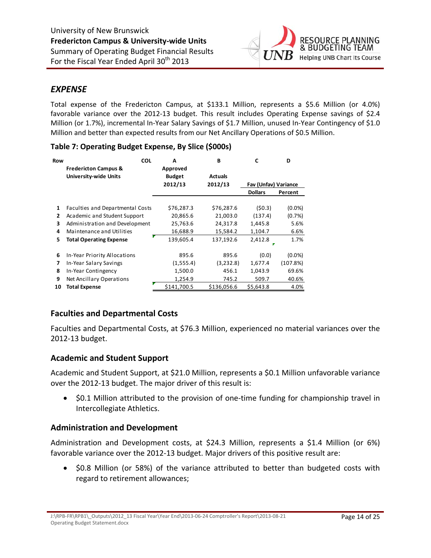

### *EXPENSE*

Total expense of the Fredericton Campus, at \$133.1 Million, represents a \$5.6 Million (or 4.0%) favorable variance over the 2012-13 budget. This result includes Operating Expense savings of \$2.4 Million (or 1.7%), incremental In‐Year Salary Savings of \$1.7 Million, unused In‐Year Contingency of \$1.0 Million and better than expected results from our Net Ancillary Operations of \$0.5 Million.

| Row | <b>COL</b>                       | A             | B              | C                    | D         |
|-----|----------------------------------|---------------|----------------|----------------------|-----------|
|     | <b>Fredericton Campus &amp;</b>  | Approved      |                |                      |           |
|     | <b>University-wide Units</b>     | <b>Budget</b> | <b>Actuals</b> |                      |           |
|     |                                  | 2012/13       | 2012/13        | Fav (Unfav) Variance |           |
|     |                                  |               |                | <b>Dollars</b>       | Percent   |
|     |                                  |               |                |                      |           |
| 1   | Faculties and Departmental Costs | \$76,287.3    | \$76,287.6     | (50.3)               | (0.0%     |
| 2   | Academic and Student Support     | 20,865.6      | 21,003.0       | (137.4)              | (0.7%)    |
| 3   | Administration and Development   | 25,763.6      | 24,317.8       | 1,445.8              | 5.6%      |
| 4   | Maintenance and Utilities        | 16,688.9      | 15.584.2       | 1.104.7              | 6.6%      |
| 5   | <b>Total Operating Expense</b>   | 139,605.4     | 137,192.6      | 2,412.8              | 1.7%      |
|     |                                  |               |                |                      |           |
| 6   | In-Year Priority Allocations     | 895.6         | 895.6          | (0.0)                | $(0.0\%)$ |
| 7   | In-Year Salary Savings           | (1,555.4)     | (3,232.8)      | 1,677.4              | (107.8%)  |
| 8   | In-Year Contingency              | 1,500.0       | 456.1          | 1,043.9              | 69.6%     |
| 9   | Net Ancillary Operations         | 1,254.9       | 745.2          | 509.7                | 40.6%     |
| 10  | Total Expense                    | \$141.700.5   | \$136,056.6    | \$5,643.8            | 4.0%      |

### **Table 7: Operating Budget Expense, By Slice (\$000s)**

### **Faculties and Departmental Costs**

Faculties and Departmental Costs, at \$76.3 Million, experienced no material variances over the 2012‐13 budget.

### **Academic and Student Support**

Academic and Student Support, at \$21.0 Million, represents a \$0.1 Million unfavorable variance over the 2012‐13 budget. The major driver of this result is:

● \$0.1 Million attributed to the provision of one-time funding for championship travel in Intercollegiate Athletics.

### **Administration and Development**

Administration and Development costs, at \$24.3 Million, represents a \$1.4 Million (or 6%) favorable variance over the 2012-13 budget. Major drivers of this positive result are:

 \$0.8 Million (or 58%) of the variance attributed to better than budgeted costs with regard to retirement allowances;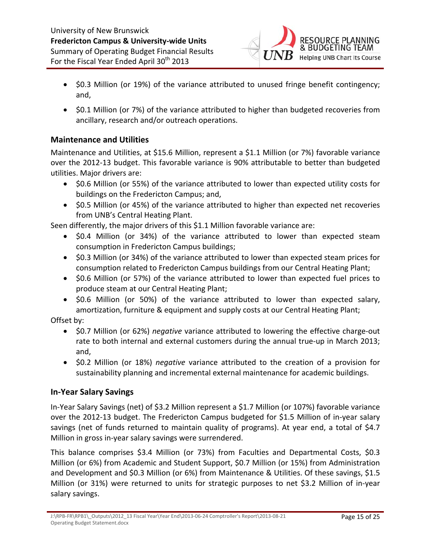

- \$0.3 Million (or 19%) of the variance attributed to unused fringe benefit contingency; and,
- \$0.1 Million (or 7%) of the variance attributed to higher than budgeted recoveries from ancillary, research and/or outreach operations.

### **Maintenance and Utilities**

Maintenance and Utilities, at \$15.6 Million, represent a \$1.1 Million (or 7%) favorable variance over the 2012‐13 budget. This favorable variance is 90% attributable to better than budgeted utilities. Major drivers are:

- \$0.6 Million (or 55%) of the variance attributed to lower than expected utility costs for buildings on the Fredericton Campus; and,
- \$0.5 Million (or 45%) of the variance attributed to higher than expected net recoveries from UNB's Central Heating Plant.

Seen differently, the major drivers of this \$1.1 Million favorable variance are:

- \$0.4 Million (or 34%) of the variance attributed to lower than expected steam consumption in Fredericton Campus buildings;
- \$0.3 Million (or 34%) of the variance attributed to lower than expected steam prices for consumption related to Fredericton Campus buildings from our Central Heating Plant;
- \$0.6 Million (or 57%) of the variance attributed to lower than expected fuel prices to produce steam at our Central Heating Plant;
- \$0.6 Million (or 50%) of the variance attributed to lower than expected salary, amortization, furniture & equipment and supply costs at our Central Heating Plant;

Offset by:

- \$0.7 Million (or 62%) *negative* variance attributed to lowering the effective charge-out rate to both internal and external customers during the annual true‐up in March 2013; and,
- \$0.2 Million (or 18%) *negative* variance attributed to the creation of a provision for sustainability planning and incremental external maintenance for academic buildings.

### **In‐Year Salary Savings**

In‐Year Salary Savings (net) of \$3.2 Million represent a \$1.7 Million (or 107%) favorable variance over the 2012‐13 budget. The Fredericton Campus budgeted for \$1.5 Million of in‐year salary savings (net of funds returned to maintain quality of programs). At year end, a total of \$4.7 Million in gross in‐year salary savings were surrendered.

This balance comprises \$3.4 Million (or 73%) from Faculties and Departmental Costs, \$0.3 Million (or 6%) from Academic and Student Support, \$0.7 Million (or 15%) from Administration and Development and \$0.3 Million (or 6%) from Maintenance & Utilities. Of these savings, \$1.5 Million (or 31%) were returned to units for strategic purposes to net \$3.2 Million of in‐year salary savings.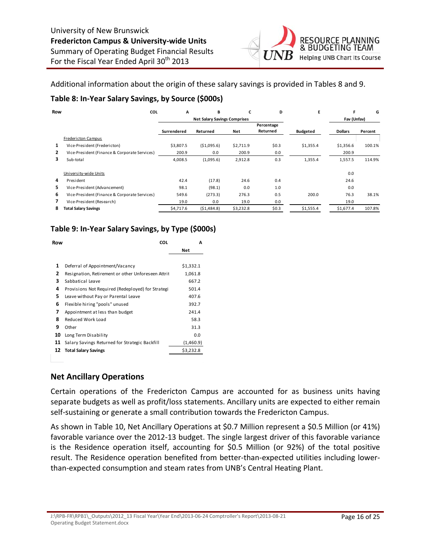

Additional information about the origin of these salary savings is provided in Tables 8 and 9.

### **Table 8: In‐Year Salary Savings, by Source (\$000s)**

| Row            | COL                                           | A           | В                                   |           | D                      | Е               | F              | G       |
|----------------|-----------------------------------------------|-------------|-------------------------------------|-----------|------------------------|-----------------|----------------|---------|
|                |                                               |             | <b>Net Salary Savings Comprises</b> |           |                        |                 | Fav (Unfav)    |         |
|                |                                               | Surrendered | Returned                            | Net       | Percentage<br>Returned | <b>Budgeted</b> | <b>Dollars</b> | Percent |
|                | <b>Fredericton Campus</b>                     |             |                                     |           |                        |                 |                |         |
| 1              | Vice-President (Fredericton)                  | \$3.807.5   | ( \$1,095.6)                        | \$2,711.9 | \$0.3                  | \$1,355.4       | \$1,356.6      | 100.1%  |
| $\overline{2}$ | Vice-President (Finance & Corporate Services) | 200.9       | 0.0                                 | 200.9     | 0.0                    |                 | 200.9          |         |
| 3              | Sub-total                                     | 4,008.5     | (1,095.6)                           | 2,912.8   | 0.3                    | 1,355.4         | 1,557.5        | 114.9%  |
|                | University-wide Units                         |             |                                     |           |                        |                 | 0.0            |         |
| 4              | President                                     | 42.4        | (17.8)                              | 24.6      | 0.4                    |                 | 24.6           |         |
| 5.             | Vice-President (Advancement)                  | 98.1        | (98.1)                              | 0.0       | 1.0                    |                 | 0.0            |         |
| 6              | Vice-President (Finance & Corporate Services) | 549.6       | (273.3)                             | 276.3     | 0.5                    | 200.0           | 76.3           | 38.1%   |
| $\overline{ }$ | Vice-President (Research)                     | 19.0        | 0.0                                 | 19.0      | 0.0                    |                 | 19.0           |         |
| 8              | <b>Total Salary Savings</b>                   | \$4,717.6   | (51, 484.8)                         | \$3,232.8 | \$0.3                  | \$1,555.4       | \$1,677.4      | 107.8%  |

### **Table 9: In‐Year Salary Savings, by Type (\$000s)**

| Row | <b>COL</b>                                         |           | A     |
|-----|----------------------------------------------------|-----------|-------|
|     |                                                    | Net       |       |
|     |                                                    |           |       |
| 1   | Deferral of Appointment/Vacancy                    | \$1,332.1 |       |
| 2   | Resignation, Retirement or other Unforeseen Attrit | 1,061.8   |       |
| 3   | Sabbatical Leave                                   |           | 667.2 |
| 4   | Provisions Not Required (Redeployed) for Strategi  |           | 501.4 |
| 5   | Leave without Pay or Parental Leave                |           | 407.6 |
| 6   | Flexible hiring "pools" unused                     |           | 392.7 |
| 7   | Appointment at less than budget                    |           | 241.4 |
| 8   | Reduced Work Load                                  |           | 58.3  |
| 9   | Other                                              |           | 31.3  |
| 10  | Long Term Disability                               |           | 0.0   |
| 11  | Salary Savings Returned for Strategic Backfill     | (1,460.9) |       |
| 12  | <b>Total Salary Savings</b>                        | \$3,232.8 |       |
|     |                                                    |           |       |

### **Net Ancillary Operations**

Certain operations of the Fredericton Campus are accounted for as business units having separate budgets as well as profit/loss statements. Ancillary units are expected to either remain self-sustaining or generate a small contribution towards the Fredericton Campus.

As shown in Table 10, Net Ancillary Operations at \$0.7 Million represent a \$0.5 Million (or 41%) favorable variance over the 2012‐13 budget. The single largest driver of this favorable variance is the Residence operation itself, accounting for \$0.5 Million (or 92%) of the total positive result. The Residence operation benefited from better‐than‐expected utilities including lower‐ than‐expected consumption and steam rates from UNB's Central Heating Plant.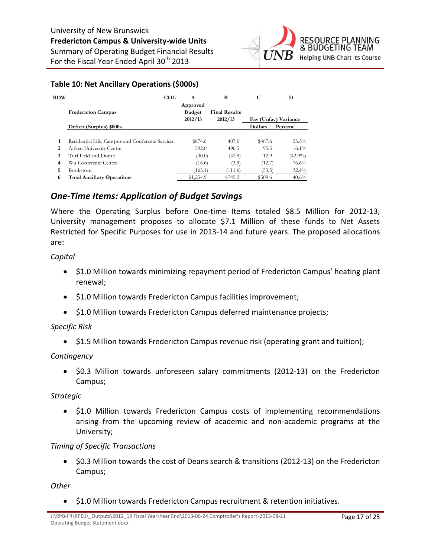

### **Table 10: Net Ancillary Operations (\$000s)**

| <b>ROW</b> | <b>COL</b>                                       | A<br>Approved | B                    | С       | D                    |
|------------|--------------------------------------------------|---------------|----------------------|---------|----------------------|
|            | <b>Fredericton Campus</b>                        | <b>Budget</b> | <b>Final Results</b> |         |                      |
|            |                                                  | 2012/13       | 2012/13              |         | Fav (Unfav) Variance |
|            | Deficit (Surplus) \$000s                         |               |                      | Dollars | Percent              |
|            |                                                  |               |                      |         |                      |
| 1          | Residential Life, Campus and Conference Services | \$874.6       | 407.0                | \$467.6 | 53.5%                |
| 2          | Aitken University Centre                         | 592.0         | 496.5                | 95.5    | $16.1\%$             |
| 3          | Turf Field and Dome.                             | (30.0)        | (42.9)               | 12.9    | $(42.9\%)$           |
| 4          | Wu Conference Centre                             | (16.6)        | (3.9)                | (12.7)  | 76.6%                |
| 5.         | <b>Bookstore</b>                                 | (165.1)       | (111.6)              | (53.5)  | $32.4\%$             |
| 6          | <b>Total Ancillary Operations</b>                | \$1,254.9     | \$745.2              | \$509.6 | 40.6%                |

### *One‐Time Items: Application of Budget Savings*

Where the Operating Surplus before One-time Items totaled \$8.5 Million for 2012-13, University management proposes to allocate \$7.1 Million of these funds to Net Assets Restricted for Specific Purposes for use in 2013‐14 and future years. The proposed allocations are:

### *Capital*

- \$1.0 Million towards minimizing repayment period of Fredericton Campus' heating plant renewal;
- \$1.0 Million towards Fredericton Campus facilities improvement;
- \$1.0 Million towards Fredericton Campus deferred maintenance projects;

### *Specific Risk*

\$1.5 Million towards Fredericton Campus revenue risk (operating grant and tuition);

### *Contingency*

 \$0.3 Million towards unforeseen salary commitments (2012‐13) on the Fredericton Campus;

### *Strategic*

• \$1.0 Million towards Fredericton Campus costs of implementing recommendations arising from the upcoming review of academic and non‐academic programs at the University;

### *Timing of Specific Transactions*

● \$0.3 Million towards the cost of Deans search & transitions (2012-13) on the Fredericton Campus;

#### *Other*

\$1.0 Million towards Fredericton Campus recruitment & retention initiatives.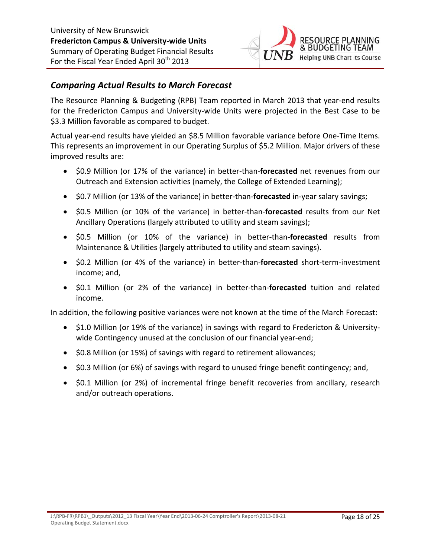

### *Comparing Actual Results to March Forecast*

The Resource Planning & Budgeting (RPB) Team reported in March 2013 that year‐end results for the Fredericton Campus and University‐wide Units were projected in the Best Case to be \$3.3 Million favorable as compared to budget.

Actual year‐end results have yielded an \$8.5 Million favorable variance before One‐Time Items. This represents an improvement in our Operating Surplus of \$5.2 Million. Major drivers of these improved results are:

- \$0.9 Million (or 17% of the variance) in better-than-forecasted net revenues from our Outreach and Extension activities (namely, the College of Extended Learning);
- \$0.7 Million (or 13% of the variance) in better‐than‐**forecasted** in‐year salary savings;
- \$0.5 Million (or 10% of the variance) in better-than-**forecasted** results from our Net Ancillary Operations (largely attributed to utility and steam savings);
- \$0.5 Million (or 10% of the variance) in better‐than‐**forecasted** results from Maintenance & Utilities (largely attributed to utility and steam savings).
- \$0.2 Million (or 4% of the variance) in better‐than‐**forecasted** short‐term‐investment income; and,
- \$0.1 Million (or 2% of the variance) in better-than-forecasted tuition and related income.

In addition, the following positive variances were not known at the time of the March Forecast:

- \$1.0 Million (or 19% of the variance) in savings with regard to Fredericton & Universitywide Contingency unused at the conclusion of our financial year-end;
- \$0.8 Million (or 15%) of savings with regard to retirement allowances;
- \$0.3 Million (or 6%) of savings with regard to unused fringe benefit contingency; and,
- \$0.1 Million (or 2%) of incremental fringe benefit recoveries from ancillary, research and/or outreach operations.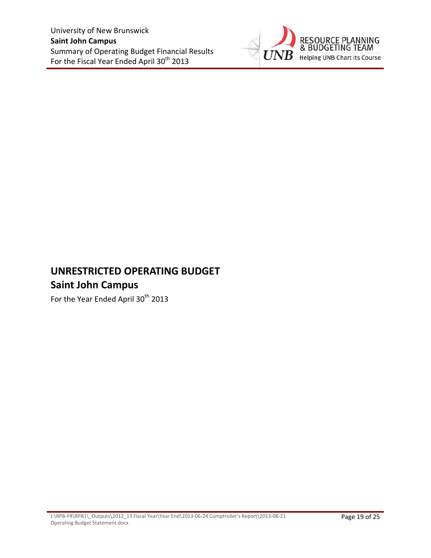

# **UNRESTRICTED OPERATING BUDGET Saint John Campus**

For the Year Ended April 30<sup>th</sup> 2013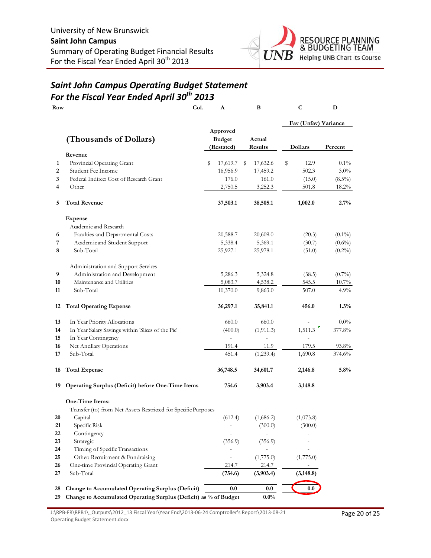

### *Saint John Campus Operating Budget Statement For the Fiscal Year Ended April 30th 2013*

| Row |                                                                  | Col. | A                                       |   | B                 |    | C                    | D         |
|-----|------------------------------------------------------------------|------|-----------------------------------------|---|-------------------|----|----------------------|-----------|
|     |                                                                  |      |                                         |   |                   |    | Fav (Unfav) Variance |           |
|     | (Thousands of Dollars)                                           |      | Approved<br><b>Budget</b><br>(Restated) |   | Actual<br>Results |    | Dollars              | Percent   |
|     | Revenue                                                          |      |                                         |   |                   |    |                      |           |
| 1   | Provincial Operating Grant                                       |      | \$<br>17,619.7                          | S | 17,632.6          | \$ | 12.9                 | $0.1\%$   |
| 2   | Student Fee Income                                               |      | 16,956.9                                |   | 17,459.2          |    | 502.3                | $3.0\%$   |
| 3   | Federal Indirect Cost of Research Grant                          |      | 176.0                                   |   | 161.0             |    | (15.0)               | $(8.5\%)$ |
| 4   | Other                                                            |      | 2,750.5                                 |   | 3,252.3           |    | 501.8                | 18.2%     |
| 5   | <b>Total Revenue</b>                                             |      | 37,503.1                                |   | 38,505.1          |    | 1,002.0              | 2.7%      |
|     | <b>Expense</b>                                                   |      |                                         |   |                   |    |                      |           |
|     | Academic and Research                                            |      |                                         |   |                   |    |                      |           |
| 6   | Faculties and Departmental Costs                                 |      | 20,588.7                                |   | 20,609.0          |    | (20.3)               | $(0.1\%)$ |
| 7   | Academic and Student Support                                     |      | 5,338.4                                 |   | 5,369.1           |    | (30.7)               | $(0.6\%)$ |
| 8   | Sub-Total                                                        |      | 25,927.1                                |   | 25,978.1          |    | (51.0)               | $(0.2\%)$ |
|     | Administration and Support Services                              |      |                                         |   |                   |    |                      |           |
| 9   | Administration and Development                                   |      | 5,286.3                                 |   | 5,324.8           |    | (38.5)               | $(0.7\%)$ |
| 10  | Maintenance and Utilities                                        |      | 5,083.7                                 |   | 4,538.2           |    | 545.5                | $10.7\%$  |
| 11  | Sub-Total                                                        |      | 10,370.0                                |   | 9,863.0           |    | 507.0                | 4.9%      |
| 12  | <b>Total Operating Expense</b>                                   |      | 36,297.1                                |   | 35,841.1          |    | 456.0                | $1.3\%$   |
| 13  | In Year Priority Allocations                                     |      | 660.0                                   |   | 660.0             |    |                      | $0.0\%$   |
| 14  | In Year Salary Savings within 'Slices of the Pie'                |      | (400.0)                                 |   | (1, 911.3)        |    | 1,511.3              | 377.8%    |
| 15  | In Year Contingency                                              |      |                                         |   |                   |    |                      |           |
| 16  | Net Anallary Operations                                          |      | 191.4                                   |   | 11.9              |    | 179.5                | 93.8%     |
| 17  | Sub-Total                                                        |      | 451.4                                   |   | (1,239.4)         |    | 1,690.8              | 374.6%    |
| 18  | <b>Total Expense</b>                                             |      | 36,748.5                                |   | 34,601.7          |    | 2,146.8              | 5.8%      |
| 19  | <b>Operating Surplus (Deficit) before One-Time Items</b>         |      | 754.6                                   |   | 3,903.4           |    | 3,148.8              |           |
|     | One-Time Items:                                                  |      |                                         |   |                   |    |                      |           |
|     | Transfer (to) from Net Assets Restricted for Specific Purposes   |      |                                         |   |                   |    |                      |           |
| 20  | Capital                                                          |      | (612.4)                                 |   | (1,686.2)         |    | (1,073.8)            |           |
| 21  | Specific Risk                                                    |      |                                         |   | (300.0)           |    | (300.0)              |           |
| 22  | Contingency                                                      |      |                                         |   |                   |    |                      |           |
| 23  | Strategic                                                        |      | (356.9)                                 |   | (356.9)           |    |                      |           |
| 24  | Timing of Specific Transactions                                  |      |                                         |   |                   |    |                      |           |
| 25  | Other: Recruitment & Fundraising                                 |      |                                         |   | (1,775.0)         |    | (1,775.0)            |           |
| 26  | One-time Provincial Operating Grant                              |      | 214.7                                   |   | 214.7             |    |                      |           |
| 27  | Sub-Total                                                        |      | (754.6)                                 |   | (3,903.4)         |    | (3, 148.8)           |           |
| 28  | Change to Accumulated Operating Surplus (Deficit)                |      | 0.0                                     |   | 0.0               |    | 0.0                  |           |
| 29  | Change to Accumulated Operating Surplus (Deficit) as % of Budget |      |                                         |   | $0.0\%$           |    |                      |           |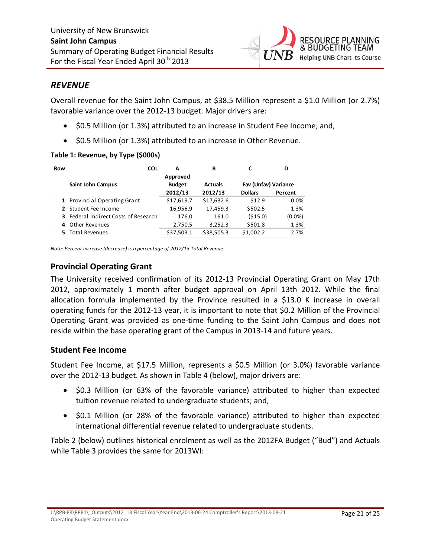

### *REVENUE*

Overall revenue for the Saint John Campus, at \$38.5 Million represent a \$1.0 Million (or 2.7%) favorable variance over the 2012-13 budget. Major drivers are:

- \$0.5 Million (or 1.3%) attributed to an increase in Student Fee Income; and,
- $\bullet$  \$0.5 Million (or 1.3%) attributed to an increase in Other Revenue.

### **Table 1: Revenue, by Type (\$000s)**

| Row |                                             | <b>COL</b> | А             | в              |                      | D       |
|-----|---------------------------------------------|------------|---------------|----------------|----------------------|---------|
|     |                                             |            | Approved      |                |                      |         |
|     | <b>Saint John Campus</b>                    |            | <b>Budget</b> | <b>Actuals</b> | Fav (Unfav) Variance |         |
|     |                                             |            | 2012/13       | 2012/13        | <b>Dollars</b>       | Percent |
|     | 1 Provincial Operating Grant                |            | \$17,619.7    | \$17,632.6     | \$12.9               | 0.0%    |
|     | 2 Student Fee Income                        |            | 16,956.9      | 17,459.3       | \$502.5              | 1.3%    |
|     | <b>3</b> Federal Indirect Costs of Research |            | 176.0         | 161.0          | (515.0)              | (0.0%   |
| 4   | Other Revenues                              |            | 2,750.5       | 3,252.3        | \$501.8              | 1.3%    |
|     | Total Revenues                              |            | \$37,503.1    | \$38,505.3     | \$1,002.2            | 2.7%    |

*Note: Percent increase (decrease) is a percentage of 2012/13 Total Revenue.*

### **Provincial Operating Grant**

The University received confirmation of its 2012‐13 Provincial Operating Grant on May 17th 2012, approximately 1 month after budget approval on April 13th 2012. While the final allocation formula implemented by the Province resulted in a \$13.0 K increase in overall operating funds for the 2012‐13 year, it is important to note that \$0.2 Million of the Provincial Operating Grant was provided as one‐time funding to the Saint John Campus and does not reside within the base operating grant of the Campus in 2013‐14 and future years.

### **Student Fee Income**

Student Fee Income, at \$17.5 Million, represents a \$0.5 Million (or 3.0%) favorable variance over the 2012‐13 budget. As shown in Table 4 (below), major drivers are:

- \$0.3 Million (or 63% of the favorable variance) attributed to higher than expected tuition revenue related to undergraduate students; and,
- \$0.1 Million (or 28% of the favorable variance) attributed to higher than expected international differential revenue related to undergraduate students.

Table 2 (below) outlines historical enrolment as well as the 2012FA Budget ("Bud") and Actuals while Table 3 provides the same for 2013WI: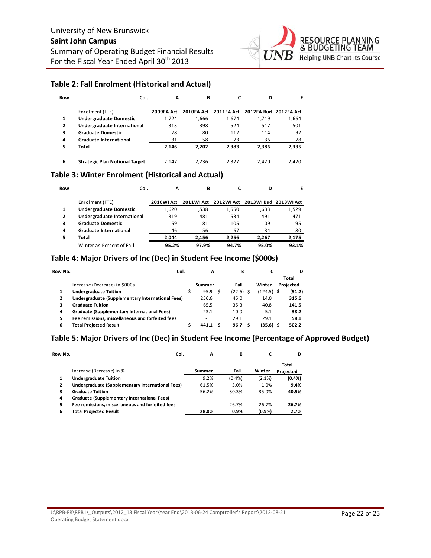

#### **Table 2: Fall Enrolment (Historical and Actual)**

| Row | Col.                                  | A          | в          |            | D                     | Е     |
|-----|---------------------------------------|------------|------------|------------|-----------------------|-------|
|     | Enrolment (FTE)                       | 2009FA Act | 2010FA Act | 2011FA Act | 2012FA Bud 2012FA Act |       |
|     | <b>Undergraduate Domestic</b>         | 1.724      | 1.666      | 1.674      | 1,719                 | 1,664 |
| 2   | Undergraduate International           | 313        | 398        | 524        | 517                   | 501   |
| 3   | <b>Graduate Domestic</b>              | 78         | 80         | 112        | 114                   | 92    |
| 4   | <b>Graduate International</b>         | 31         | 58         | 73         | 36                    | 78    |
| 5   | Total                                 | 2.146      | 2.202      | 2,383      | 2,386                 | 2,335 |
| 6   | <b>Strategic Plan Notional Target</b> | 2.147      | 2.236      | 2.327      | 2.420                 | 2.420 |

### **Table 3: Winter Enrolment (Historical and Actual)**

| Row | Col.                          | А                 | в          |            | D                     | Е     |
|-----|-------------------------------|-------------------|------------|------------|-----------------------|-------|
|     | Enrolment (FTE)               | <b>2010WI Act</b> | 2011WI Act | 2012WI Act | 2013WI Bud 2013WI Act |       |
|     | <b>Undergraduate Domestic</b> | 1.620             | 1.538      | 1.550      | 1,633                 | 1,529 |
|     | Undergraduate International   | 319               | 481        | 534        | 491                   | 471   |
| 3   | <b>Graduate Domestic</b>      | 59                | 81         | 105        | 109                   | 95    |
| 4   | <b>Graduate International</b> | 46                | 56         | 67         | 34                    | 80    |
| 5   | Total                         | 2.044             | 2.156      | 2.256      | 2.267                 | 2,175 |
|     | Winter as Percent of Fall     | 95.2%             | 97.9%      | 94.7%      | 95.0%                 | 93.1% |

### **Table 4: Major Drivers of Inc (Dec) in Student Fee Income (\$000s)**

| Row No. |                                                  | Col. | A      | в           |              | D         |
|---------|--------------------------------------------------|------|--------|-------------|--------------|-----------|
|         |                                                  |      |        |             |              | Total     |
|         | Increase (Decrease) in \$000s                    |      | Summer | Fall        | Winter       | Projected |
| 1       | <b>Undergraduate Tuition</b>                     |      | 95.9   | $(22.6)$ \$ | $(124.5)$ \$ | (51.2)    |
| 2       | Undergraduate (Supplementary International Fees) |      | 256.6  | 45.0        | 14.0         | 315.6     |
| 3       | <b>Graduate Tuition</b>                          |      | 65.5   | 35.3        | 40.8         | 141.5     |
| 4       | Graduate (Supplementary International Fees)      |      | 23.1   | 10.0        | 5.1          | 38.2      |
| 5       | Fee remissions, miscellaneous and forfeited fees |      | ۰      | 29.1        | 29.1         | 58.1      |
| 6       | <b>Total Projected Result</b>                    |      | 441.1  | 96.7        | $(35.6)$ \$  | 502.2     |

### **Table 5: Major Drivers of Inc (Dec) in Student Fee Income (Percentage of Approved Budget)**

| Row No. | Col.                                             | А      | в     | C      | D                  |
|---------|--------------------------------------------------|--------|-------|--------|--------------------|
|         | Increase (Decrease) in %                         | Summer | Fall  | Winter | Total<br>Projected |
| 1       | <b>Undergraduate Tuition</b>                     | 9.2%   | (0.4% | (2.1%) | (0.4% )            |
| 2       | Undergraduate (Supplementary International Fees) | 61.5%  | 3.0%  | 1.0%   | 9.4%               |
| 3       | <b>Graduate Tuition</b>                          | 56.2%  | 30.3% | 35.0%  | 40.5%              |
| 4       | Graduate (Supplementary International Fees)      |        |       |        |                    |
| 5       | Fee remissions, miscellaneous and forfeited fees |        | 26.7% | 26.7%  | 26.7%              |
| 6       | Total Projected Result                           | 28.0%  | 0.9%  | (0.9%  | 2.7%               |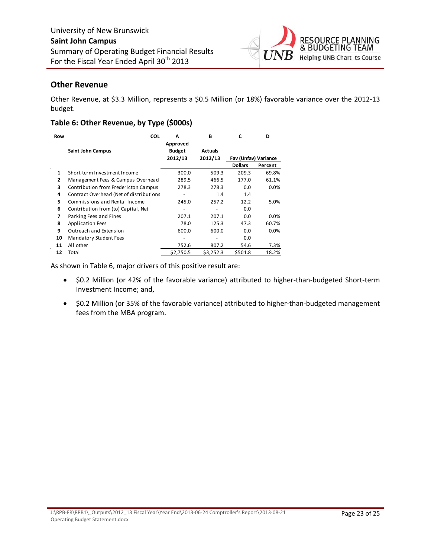

### **Other Revenue**

Other Revenue, at \$3.3 Million, represents a \$0.5 Million (or 18%) favorable variance over the 2012‐13 budget.

### **Table 6: Other Revenue, by Type (\$000s)**

| Row            | <b>COL</b>                              | A<br>Approved            | В              | C                    | D       |
|----------------|-----------------------------------------|--------------------------|----------------|----------------------|---------|
|                | Saint John Campus                       | <b>Budget</b>            | <b>Actuals</b> |                      |         |
|                |                                         | 2012/13                  | 2012/13        | Fav (Unfav) Variance |         |
|                |                                         |                          |                | <b>Dollars</b>       | Percent |
| 1              | Short-term Investment Income            | 300.0                    | 509.3          | 209.3                | 69.8%   |
| $\overline{2}$ | Management Fees & Campus Overhead       | 289.5                    | 466.5          | 177.0                | 61.1%   |
| 3              | Contribution from Fredericton Campus    | 278.3                    | 278.3          | 0.0                  | 0.0%    |
| 4              | Contract Overhead (Net of distributions | $\overline{\phantom{a}}$ | 1.4            | 1.4                  |         |
| 5              | Commissions and Rental Income           | 245.0                    | 257.2          | 12.2                 | 5.0%    |
| 6              | Contribution from (to) Capital, Net     |                          |                | 0.0                  |         |
| 7              | Parking Fees and Fines                  | 207.1                    | 207.1          | 0.0                  | 0.0%    |
| 8              | <b>Application Fees</b>                 | 78.0                     | 125.3          | 47.3                 | 60.7%   |
| 9              | Outreach and Extension                  | 600.0                    | 600.0          | 0.0                  | 0.0%    |
| 10             | <b>Mandatory Student Fees</b>           | -                        | ٠              | 0.0                  |         |
| 11             | All other                               | 752.6                    | 807.2          | 54.6                 | 7.3%    |
| 12             | Total                                   | \$2,750.5                | \$3,252.3      | \$501.8              | 18.2%   |

As shown in Table 6, major drivers of this positive result are:

- \$0.2 Million (or 42% of the favorable variance) attributed to higher-than-budgeted Short-term Investment Income; and,
- \$0.2 Million (or 35% of the favorable variance) attributed to higher-than-budgeted management fees from the MBA program.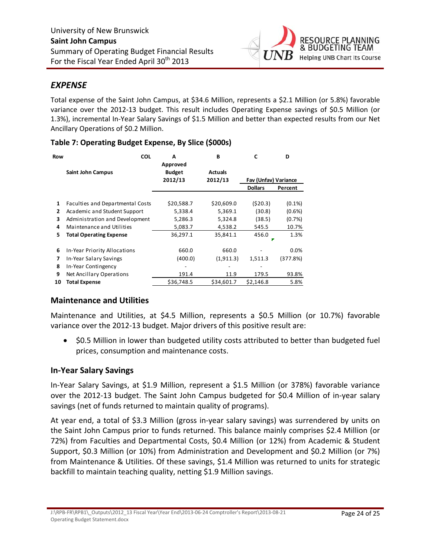

### *EXPENSE*

Total expense of the Saint John Campus, at \$34.6 Million, represents a \$2.1 Million (or 5.8%) favorable variance over the 2012‐13 budget. This result includes Operating Expense savings of \$0.5 Million (or 1.3%), incremental In‐Year Salary Savings of \$1.5 Million and better than expected results from our Net Ancillary Operations of \$0.2 Million.

| Row | <b>COL</b>                       | А                                    | B                         | C                    | D         |
|-----|----------------------------------|--------------------------------------|---------------------------|----------------------|-----------|
|     | <b>Saint John Campus</b>         | Approved<br><b>Budget</b><br>2012/13 | <b>Actuals</b><br>2012/13 | Fav (Unfav) Variance |           |
|     |                                  |                                      |                           | <b>Dollars</b>       | Percent   |
|     |                                  |                                      |                           |                      |           |
| 1   | Faculties and Departmental Costs | \$20,588.7                           | \$20,609.0                | (520.3)              | $(0.1\%)$ |
| 2   | Academic and Student Support     | 5,338.4                              | 5,369.1                   | (30.8)               | $(0.6\%)$ |
| 3   | Administration and Development   | 5,286.3                              | 5,324.8                   | (38.5)               | (0.7%)    |
| 4   | Maintenance and Utilities        | 5,083.7                              | 4,538.2                   | 545.5                | 10.7%     |
| 5   | <b>Total Operating Expense</b>   | 36,297.1                             | 35,841.1                  | 456.0                | 1.3%      |
|     |                                  |                                      |                           |                      |           |
| 6   | In-Year Priority Allocations     | 660.0                                | 660.0                     |                      | 0.0%      |
| 7   | In-Year Salary Savings           | (400.0)                              | (1,911.3)                 | 1,511.3              | (377.8%)  |
| 8   | In-Year Contingency              |                                      |                           |                      |           |
| 9   | Net Ancillary Operations         | 191.4                                | 11.9                      | 179.5                | 93.8%     |
| 10  | <b>Total Expense</b>             | \$36.748.5                           | \$34.601.7                | \$2,146.8            | 5.8%      |

### **Table 7: Operating Budget Expense, By Slice (\$000s)**

### **Maintenance and Utilities**

Maintenance and Utilities, at \$4.5 Million, represents a \$0.5 Million (or 10.7%) favorable variance over the 2012‐13 budget. Major drivers of this positive result are:

• \$0.5 Million in lower than budgeted utility costs attributed to better than budgeted fuel prices, consumption and maintenance costs.

### **In‐Year Salary Savings**

In‐Year Salary Savings, at \$1.9 Million, represent a \$1.5 Million (or 378%) favorable variance over the 2012‐13 budget. The Saint John Campus budgeted for \$0.4 Million of in‐year salary savings (net of funds returned to maintain quality of programs).

At year end, a total of \$3.3 Million (gross in‐year salary savings) was surrendered by units on the Saint John Campus prior to funds returned. This balance mainly comprises \$2.4 Million (or 72%) from Faculties and Departmental Costs, \$0.4 Million (or 12%) from Academic & Student Support, \$0.3 Million (or 10%) from Administration and Development and \$0.2 Million (or 7%) from Maintenance & Utilities. Of these savings, \$1.4 Million was returned to units for strategic backfill to maintain teaching quality, netting \$1.9 Million savings.